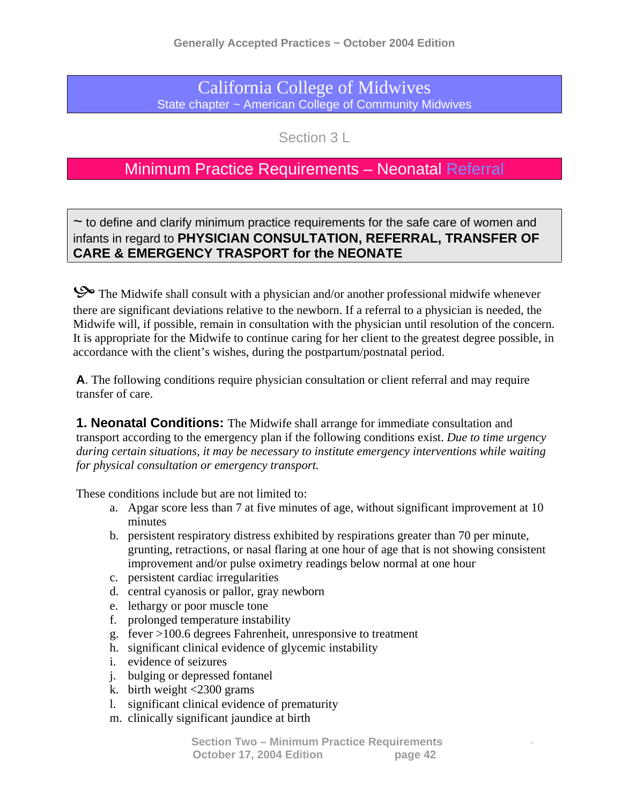## California College of Midwives State chapter ~ American College of Community Midwives

Section 3 L

## Minimum Practice Requirements – Neonatal Referral

 $\sim$  to define and clarify minimum practice requirements for the safe care of women and infants in regard to **PHYSICIAN CONSULTATION, REFERRAL, TRANSFER OF CARE & EMERGENCY TRASPORT for the NEONATE**

So The Midwife shall consult with a physician and/or another professional midwife whenever there are significant deviations relative to the newborn. If a referral to a physician is needed, the Midwife will, if possible, remain in consultation with the physician until resolution of the concern. It is appropriate for the Midwife to continue caring for her client to the greatest degree possible, in accordance with the client's wishes, during the postpartum/postnatal period.

**A**. The following conditions require physician consultation or client referral and may require transfer of care.

**1. Neonatal Conditions:** The Midwife shall arrange for immediate consultation and transport according to the emergency plan if the following conditions exist. *Due to time urgency during certain situations, it may be necessary to institute emergency interventions while waiting for physical consultation or emergency transport.* 

These conditions include but are not limited to:

- a. Apgar score less than 7 at five minutes of age, without significant improvement at 10 minutes
- b. persistent respiratory distress exhibited by respirations greater than 70 per minute, grunting, retractions, or nasal flaring at one hour of age that is not showing consistent improvement and/or pulse oximetry readings below normal at one hour
- c. persistent cardiac irregularities
- d. central cyanosis or pallor, gray newborn
- e. lethargy or poor muscle tone
- f. prolonged temperature instability
- g. fever >100.6 degrees Fahrenheit, unresponsive to treatment
- h. significant clinical evidence of glycemic instability
- i. evidence of seizures
- j. bulging or depressed fontanel
- $\mathbf{k}$ . birth weight <2300 grams
- l. significant clinical evidence of prematurity
- m. clinically significant jaundice at birth

 **Section Two – Minimum Practice Requirements** - **October 17, 2004 Edition page 42**